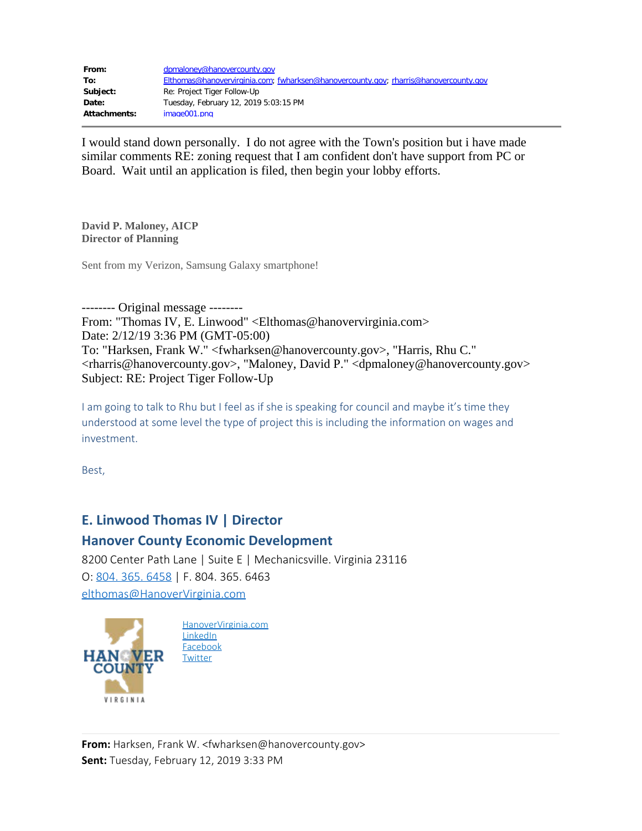| From:        | dpmaloney@hanovercounty.gov                                                          |
|--------------|--------------------------------------------------------------------------------------|
| To:          | Elthomas@hanovervirginia.com; fwharksen@hanovercounty.gov; rharris@hanovercounty.gov |
| Subject:     | Re: Project Tiger Follow-Up                                                          |
| Date:        | Tuesday, February 12, 2019 5:03:15 PM                                                |
| Attachments: | image001.png                                                                         |

I would stand down personally. I do not agree with the Town's position but i have made similar comments RE: zoning request that I am confident don't have support from PC or Board. Wait until an application is filed, then begin your lobby efforts.

**David P. Maloney, AICP Director of Planning**

Sent from my Verizon, Samsung Galaxy smartphone!

-------- Original message -------- From: "Thomas IV, E. Linwood" <Elthomas@hanovervirginia.com> Date: 2/12/19 3:36 PM (GMT-05:00) To: "Harksen, Frank W." <fwharksen@hanovercounty.gov>, "Harris, Rhu C." <rharris@hanovercounty.gov>, "Maloney, David P." <dpmaloney@hanovercounty.gov> Subject: RE: Project Tiger Follow-Up

I am going to talk to Rhu but I feel as if she is speaking for council and maybe it's time they understood at some level the type of project this is including the information on wages and investment.

Best,

## **E. Linwood Thomas IV | Director**

## **Hanover County Economic Development**

8200 Center Path Lane | Suite E | Mechanicsville. Virginia 23116 O: [804. 365. 6458](tel:1-804-365-6458) | F. 804. 365. 6463 [elthomas@HanoverVirginia.com](mailto:elthomas@HanoverVirginia.com)